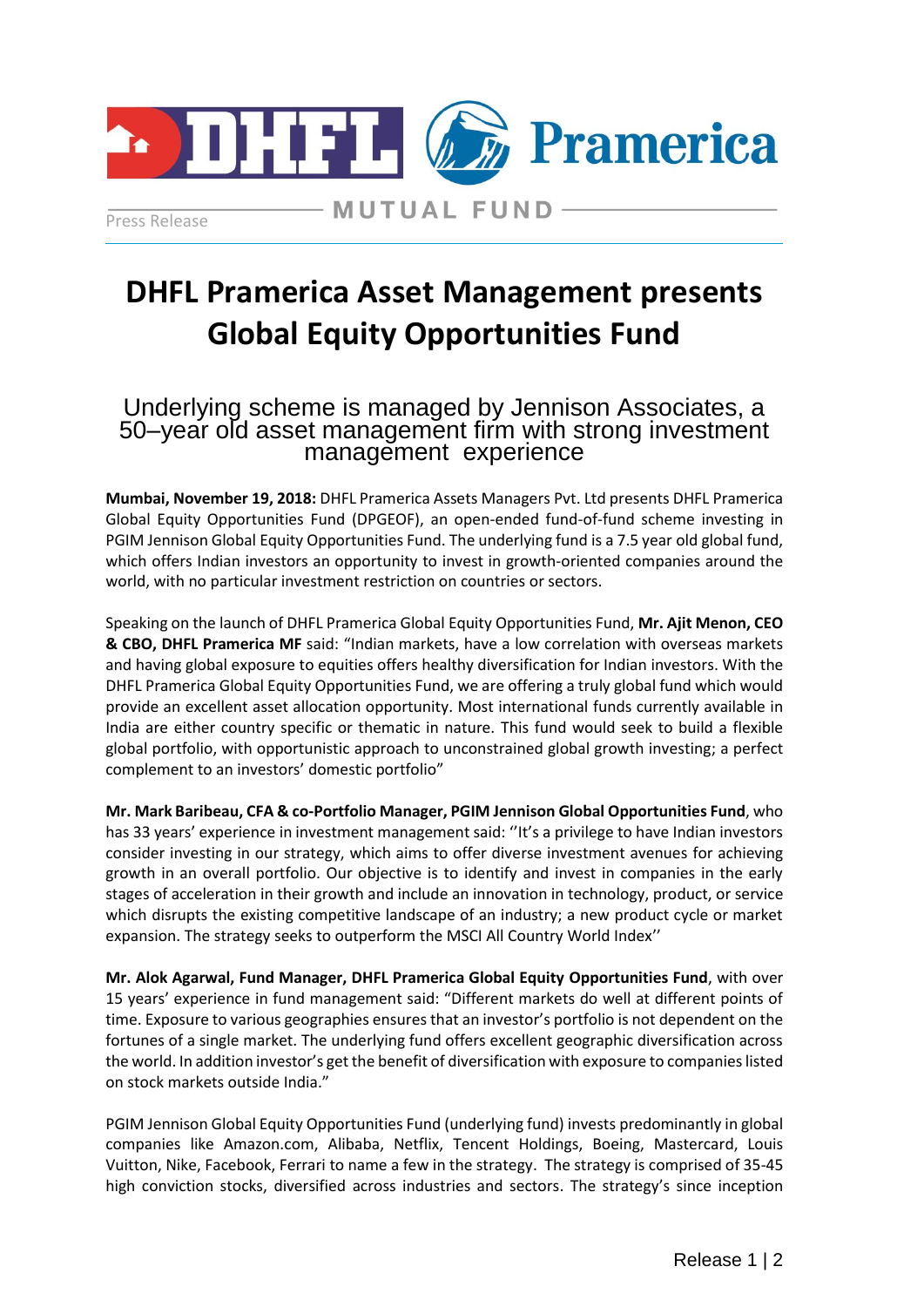

Press Release

**MUTUAL FUND-**

## **DHFL Pramerica Asset Management presents Global Equity Opportunities Fund**

Underlying scheme is managed by Jennison Associates, a 50–year old asset management firm with strong investment management experience

**Mumbai, November 19, 2018:** DHFL Pramerica Assets Managers Pvt. Ltd presents DHFL Pramerica Global Equity Opportunities Fund (DPGEOF), an open-ended fund-of-fund scheme investing in PGIM Jennison Global Equity Opportunities Fund. The underlying fund is a 7.5 year old global fund, which offers Indian investors an opportunity to invest in growth-oriented companies around the world, with no particular investment restriction on countries or sectors.

Speaking on the launch of DHFL Pramerica Global Equity Opportunities Fund, **Mr. Ajit Menon, CEO & CBO, DHFL Pramerica MF** said: "Indian markets, have a low correlation with overseas markets and having global exposure to equities offers healthy diversification for Indian investors. With the DHFL Pramerica Global Equity Opportunities Fund, we are offering a truly global fund which would provide an excellent asset allocation opportunity. Most international funds currently available in India are either country specific or thematic in nature. This fund would seek to build a flexible global portfolio, with opportunistic approach to unconstrained global growth investing; a perfect complement to an investors' domestic portfolio"

**Mr. Mark Baribeau, CFA & co-Portfolio Manager, PGIM Jennison Global Opportunities Fund**, who has 33 years' experience in investment management said: ''It's a privilege to have Indian investors consider investing in our strategy, which aims to offer diverse investment avenues for achieving growth in an overall portfolio. Our objective is to identify and invest in companies in the early stages of acceleration in their growth and include an innovation in technology, product, or service which disrupts the existing competitive landscape of an industry; a new product cycle or market expansion. The strategy seeks to outperform the MSCI All Country World Index''

**Mr. Alok Agarwal, Fund Manager, DHFL Pramerica Global Equity Opportunities Fund**, with over 15 years' experience in fund management said: "Different markets do well at different points of time. Exposure to various geographies ensures that an investor's portfolio is not dependent on the fortunes of a single market. The underlying fund offers excellent geographic diversification across the world. In addition investor's get the benefit of diversification with exposure to companies listed on stock markets outside India."

PGIM Jennison Global Equity Opportunities Fund (underlying fund) invests predominantly in global companies like Amazon.com, Alibaba, Netflix, Tencent Holdings, Boeing, Mastercard, Louis Vuitton, Nike, Facebook, Ferrari to name a few in the strategy. The strategy is comprised of 35-45 high conviction stocks, diversified across industries and sectors. The strategy's since inception